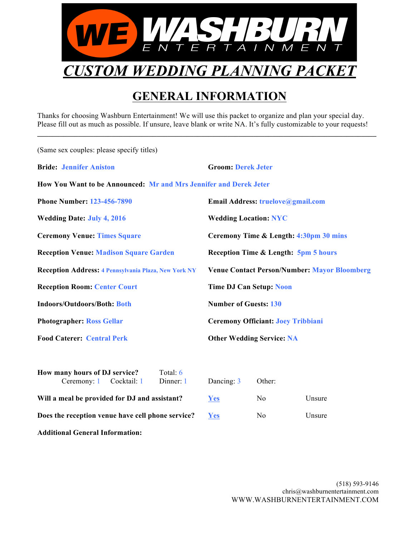

# **GENERAL INFORMATION**

Thanks for choosing Washburn Entertainment! We will use this packet to organize and plan your special day. Please fill out as much as possible. If unsure, leave blank or write NA. It's fully customizable to your requests!

**\_\_\_\_\_\_\_\_\_\_\_\_\_\_\_\_\_\_\_\_\_\_\_\_\_\_\_\_\_\_\_\_\_\_\_\_\_\_\_\_\_\_\_\_\_\_\_\_\_\_\_\_\_\_\_\_\_\_\_\_\_\_\_\_\_\_\_\_\_\_\_\_\_\_\_\_\_\_\_\_\_\_\_\_\_\_\_\_\_\_\_**

(Same sex couples: please specify titles)

**Additional General Information:**

| <b>Bride: Jennifer Aniston</b>                                                       |                              | <b>Groom: Derek Jeter</b>                           |                                   |  |  |
|--------------------------------------------------------------------------------------|------------------------------|-----------------------------------------------------|-----------------------------------|--|--|
| How You Want to be Announced: Mr and Mrs Jennifer and Derek Jeter                    |                              |                                                     |                                   |  |  |
| <b>Phone Number: 123-456-7890</b>                                                    |                              |                                                     | Email Address: truelove@gmail.com |  |  |
| <b>Wedding Date: July 4, 2016</b>                                                    |                              | <b>Wedding Location: NYC</b>                        |                                   |  |  |
| <b>Ceremony Venue: Times Square</b>                                                  |                              | Ceremony Time & Length: 4:30pm 30 mins              |                                   |  |  |
| <b>Reception Venue: Madison Square Garden</b>                                        |                              | <b>Reception Time &amp; Length: 5pm 5 hours</b>     |                                   |  |  |
| <b>Reception Address: 4 Pennsylvania Plaza, New York NY</b>                          |                              | <b>Venue Contact Person/Number: Mayor Bloomberg</b> |                                   |  |  |
| <b>Reception Room: Center Court</b>                                                  |                              | <b>Time DJ Can Setup: Noon</b>                      |                                   |  |  |
| <b>Indoors/Outdoors/Both: Both</b>                                                   | <b>Number of Guests: 130</b> |                                                     |                                   |  |  |
| <b>Photographer: Ross Gellar</b>                                                     |                              | <b>Ceremony Officiant: Joey Tribbiani</b>           |                                   |  |  |
| <b>Food Caterer: Central Perk</b>                                                    |                              | <b>Other Wedding Service: NA</b>                    |                                   |  |  |
| How many hours of DJ service?<br>Total: 6<br>Ceremony: 1<br>Cocktail: 1<br>Dinner: 1 | Dancing: 3                   | Other:                                              |                                   |  |  |
| Will a meal be provided for DJ and assistant?                                        | Yes                          | N <sub>o</sub>                                      | Unsure                            |  |  |
| Does the reception venue have cell phone service?                                    | Yes                          | N <sub>0</sub>                                      | Unsure                            |  |  |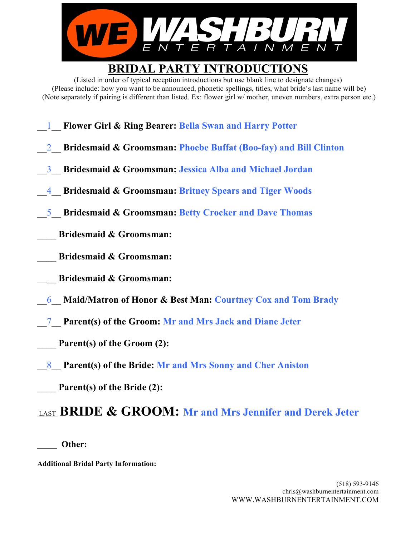| R T A I N M E N<br>E                                                                                                                                                                                                                                                                                                             |
|----------------------------------------------------------------------------------------------------------------------------------------------------------------------------------------------------------------------------------------------------------------------------------------------------------------------------------|
| <b>BRIDAL PARTY INTRODUCTIONS</b>                                                                                                                                                                                                                                                                                                |
| (Listed in order of typical reception introductions but use blank line to designate changes)<br>(Please include: how you want to be announced, phonetic spellings, titles, what bride's last name will be)<br>(Note separately if pairing is different than listed. Ex: flower girl w/mother, uneven numbers, extra person etc.) |
| <b>Flower Girl &amp; Ring Bearer: Bella Swan and Harry Potter</b>                                                                                                                                                                                                                                                                |
| <b>Bridesmaid &amp; Groomsman: Phoebe Buffat (Boo-fay) and Bill Clinton</b>                                                                                                                                                                                                                                                      |
| Bridesmaid & Groomsman: Jessica Alba and Michael Jordan                                                                                                                                                                                                                                                                          |
| <b>Bridesmaid &amp; Groomsman: Britney Spears and Tiger Woods</b>                                                                                                                                                                                                                                                                |
| <b>Bridesmaid &amp; Groomsman: Betty Crocker and Dave Thomas</b><br>$\Delta$                                                                                                                                                                                                                                                     |
| <b>Bridesmaid &amp; Groomsman:</b>                                                                                                                                                                                                                                                                                               |
| <b>Bridesmaid &amp; Groomsman:</b>                                                                                                                                                                                                                                                                                               |
| <b>Bridesmaid &amp; Groomsman:</b>                                                                                                                                                                                                                                                                                               |
| 6 Maid/Matron of Honor & Best Man: Courtney Cox and Tom Brady                                                                                                                                                                                                                                                                    |
| <b>7</b> Parent(s) of the Groom: Mr and Mrs Jack and Diane Jeter                                                                                                                                                                                                                                                                 |
| Parent(s) of the Groom (2):                                                                                                                                                                                                                                                                                                      |
| 8 Parent(s) of the Bride: Mr and Mrs Sonny and Cher Aniston                                                                                                                                                                                                                                                                      |
| Parent(s) of the Bride (2):                                                                                                                                                                                                                                                                                                      |
| LAST BRIDE & GROOM: Mr and Mrs Jennifer and Derek Jeter                                                                                                                                                                                                                                                                          |
| Other:                                                                                                                                                                                                                                                                                                                           |

**Additional Bridal Party Information:**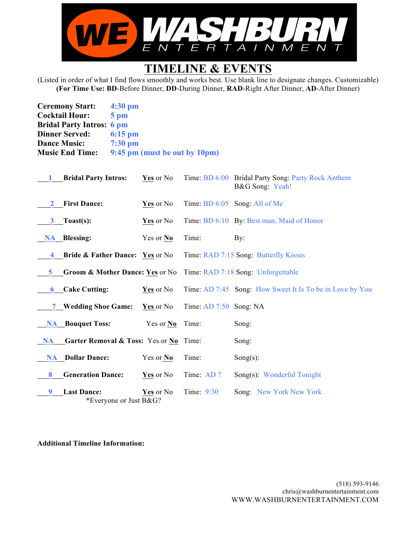

## **TIMELINE & EVENTS**

(Listed in order of what I find flows smoothly and works best. Use blank line to designate changes. Customizable) **(For Time Use: BD**-Before Dinner, **DD**-During Dinner, **RAD**-Right After Dinner, **AD**-After Dinner)

| <b>Ceremony Start:</b>           | $4:30 \text{ pm}$             |
|----------------------------------|-------------------------------|
| <b>Cocktail Hour:</b>            | $5 \text{ pm}$                |
| <b>Bridal Party Intros: 6 pm</b> |                               |
| <b>Dinner Served:</b>            | $6:15$ pm                     |
| <b>Dance Music:</b>              | $7:30$ pm                     |
| <b>Music End Time:</b>           | 9:45 pm (must be out by 10pm) |

| <b>Bridal Party Intros:</b>                         | Yes or No        |                          | Time: BD 6:00 Bridal Party Song: Party Rock Anthem<br>B&G Song: Yeah! |
|-----------------------------------------------------|------------------|--------------------------|-----------------------------------------------------------------------|
| <b>First Dance:</b><br>$\mathbf{2}$                 | Yes or No        |                          | Time: BD 6:05 Song: All of Me                                         |
| $\textbf{Toast}(s):$<br>$3 -$                       | Yes or No        |                          | Time: BD 6:10 By: Best man, Maid of Honor                             |
| <b>NA</b> Blessing:                                 | Yes or No        | Time:                    | By:                                                                   |
| <b>Bride &amp; Father Dance:</b> Yes or No<br>4     |                  |                          | Time: RAD 7:15 Song: Butterfly Kisses                                 |
| Groom & Mother Dance: Yes or No<br>5.               |                  |                          | Time: RAD 7:18 Song: Unforgettable                                    |
| <b>Cake Cutting:</b><br>6                           | Yes or No        |                          | Time: AD 7:45 Song: How Sweet It Is To be in Love by You              |
| 7 Wedding Shoe Game:                                | <b>Yes</b> or No | Time: $AD$ 7:50 Song: NA |                                                                       |
| <b>NA</b> Bouquet Toss:                             | Yes or No        | Time:                    | Song:                                                                 |
| Garter Removal & Toss: Yes or No Time:<br><b>NA</b> |                  |                          | Song:                                                                 |
| <b>NA</b> Dollar Dance:                             | Yes or No        | Time:                    | Song $(s)$ :                                                          |
| <b>Generation Dance:</b><br>8                       | Yes or No        | Time: AD?                | Song(s): Wonderful Tonight                                            |
| <b>Last Dance:</b><br>9<br>*Everyone or Just B&G?   | Yes or No        | Time: 9:30               | Song: New York New York                                               |

**Additional Timeline Information:**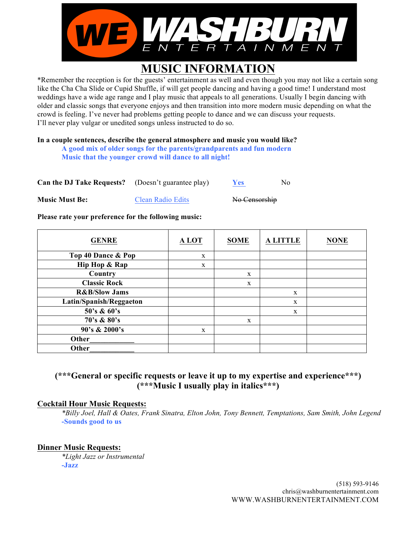

### **MUSIC INFORMATION**

\*Remember the reception is for the guests' entertainment as well and even though you may not like a certain song like the Cha Cha Slide or Cupid Shuffle, if will get people dancing and having a good time! I understand most weddings have a wide age range and I play music that appeals to all generations. Usually I begin dancing with older and classic songs that everyone enjoys and then transition into more modern music depending on what the crowd is feeling. I've never had problems getting people to dance and we can discuss your requests. I'll never play vulgar or unedited songs unless instructed to do so.

### **In a couple sentences, describe the general atmosphere and music you would like?**

| A good mix of older songs for the parents/grandparents and fun modern |  |
|-----------------------------------------------------------------------|--|
| Music that the younger crowd will dance to all night!                 |  |

| <b>Can the DJ Take Requests?</b> (Doesn't guarantee play) |                   | <b>Yes</b>    | No. |
|-----------------------------------------------------------|-------------------|---------------|-----|
| <b>Music Must Be:</b>                                     | Clean Radio Edits | No Censorship |     |

#### **Please rate your preference for the following music:**

| <b>GENRE</b>             | A LOT | <b>SOME</b> | <b>A LITTLE</b> | <b>NONE</b> |
|--------------------------|-------|-------------|-----------------|-------------|
| Top 40 Dance & Pop       | X     |             |                 |             |
| Hip Hop & Rap            | X     |             |                 |             |
| Country                  |       | X           |                 |             |
| <b>Classic Rock</b>      |       | X           |                 |             |
| <b>R&amp;B/Slow Jams</b> |       |             | X               |             |
| Latin/Spanish/Reggaeton  |       |             | X               |             |
| 50's & 60's              |       |             | $\mathbf X$     |             |
| 70's & 80's              |       | X           |                 |             |
| 90's & 2000's            | X     |             |                 |             |
| Other                    |       |             |                 |             |
| Other                    |       |             |                 |             |

### **(\*\*\*General or specific requests or leave it up to my expertise and experience\*\*\*) (\*\*\*Music I usually play in italics\*\*\*)**

### **Cocktail Hour Music Requests:**

*\*Billy Joel, Hall & Oates, Frank Sinatra, Elton John, Tony Bennett, Temptations, Sam Smith, John Legend* **-Sounds good to us**

### **Dinner Music Requests:**

*\*Light Jazz or Instrumental*  **-Jazz**